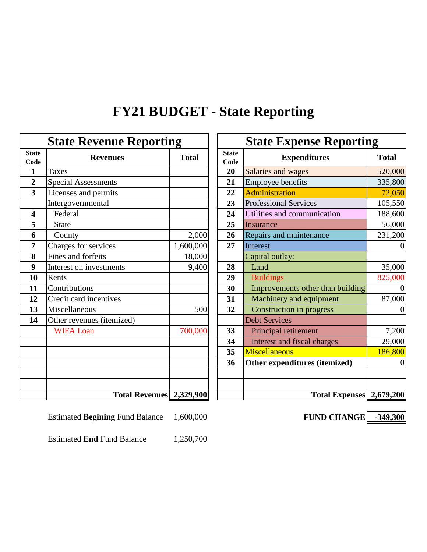## **FY21 BUDGET - State Reporting**

|                         | <b>State Revenue Reporting</b>  |              |  | <b>State Expense Reporting</b> |                                  |  |
|-------------------------|---------------------------------|--------------|--|--------------------------------|----------------------------------|--|
| <b>State</b><br>Code    | <b>Revenues</b>                 | <b>Total</b> |  | <b>State</b><br>Code           | <b>Expenditures</b>              |  |
| 1                       | Taxes                           |              |  | 20                             | Salaries and wages               |  |
| $\overline{2}$          | <b>Special Assessments</b>      |              |  | 21                             | <b>Employee benefits</b>         |  |
| $\overline{\mathbf{3}}$ | Licenses and permits            |              |  | 22                             | <b>Administration</b>            |  |
|                         | Intergovernmental               |              |  | 23                             | <b>Professional Services</b>     |  |
| $\overline{\mathbf{4}}$ | Federal                         |              |  | 24                             | Utilities and communication      |  |
| 5                       | <b>State</b>                    |              |  | 25                             | <b>Insurance</b>                 |  |
| 6                       | County                          | 2,000        |  | 26                             | Repairs and maintenance          |  |
| 7                       | Charges for services            | 1,600,000    |  | 27                             | Interest                         |  |
| 8                       | Fines and forfeits              | 18,000       |  |                                | Capital outlay:                  |  |
| 9                       | Interest on investments         | 9,400        |  | 28                             | Land                             |  |
| 10                      | Rents                           |              |  | 29                             | <b>Buildings</b>                 |  |
| 11                      | Contributions                   |              |  | 30                             | Improvements other than building |  |
| 12                      | Credit card incentives          |              |  | 31                             | Machinery and equipment          |  |
| 13                      | Miscellaneous                   | 500          |  | 32                             | <b>Construction in progress</b>  |  |
| 14                      | Other revenues (itemized)       |              |  |                                | <b>Debt Services</b>             |  |
|                         | <b>WIFA Loan</b>                | 700,000      |  | 33                             | Principal retirement             |  |
|                         |                                 |              |  | 34                             | Interest and fiscal charges      |  |
|                         |                                 |              |  | 35                             | <b>Miscellaneous</b>             |  |
|                         |                                 |              |  | 36                             | Other expenditures (itemized)    |  |
|                         |                                 |              |  |                                |                                  |  |
|                         |                                 |              |  |                                |                                  |  |
|                         | <b>Total Revenues</b> 2,329,900 |              |  |                                | <b>Total Expenses</b> 2,         |  |

| <b>State Revenue Reporting</b> |                            | <b>State Expense Reporting</b> |                      |                                    |                |
|--------------------------------|----------------------------|--------------------------------|----------------------|------------------------------------|----------------|
| tate<br>'ode                   | <b>Revenues</b>            | <b>Total</b>                   | <b>State</b><br>Code | <b>Expenditures</b>                | <b>Total</b>   |
| $\mathbf{1}$                   | <b>Taxes</b>               |                                | 20                   | Salaries and wages                 | 520,000        |
| $\boldsymbol{2}$               | <b>Special Assessments</b> |                                | 21                   | Employee benefits                  | 335,800        |
| $\overline{\mathbf{3}}$        | Licenses and permits       |                                | 22                   | <b>Administration</b>              | 72,050         |
|                                | Intergovernmental          |                                | 23                   | <b>Professional Services</b>       | 105,550        |
| $\overline{\mathbf{4}}$        | Federal                    |                                | 24                   | Utilities and communication        | 188,600        |
| $\mathbf 5$                    | <b>State</b>               |                                | 25                   | Insurance                          | 56,000         |
| 6                              | County                     | 2,000                          | 26                   | Repairs and maintenance            | 231,200        |
| $\overline{7}$                 | Charges for services       | 1,600,000                      | 27                   | Interest                           |                |
| 8                              | Fines and forfeits         | 18,000                         |                      | Capital outlay:                    |                |
| $\boldsymbol{9}$               | Interest on investments    | 9,400                          | 28                   | Land                               | 35,000         |
| 10                             | Rents                      |                                | 29                   | <b>Buildings</b>                   | 825,000        |
| 11                             | Contributions              |                                | 30                   | Improvements other than building   |                |
| 12                             | Credit card incentives     |                                | 31                   | Machinery and equipment            | 87,000         |
| 13                             | Miscellaneous              | 500                            | 32                   | <b>Construction in progress</b>    |                |
| 14                             | Other revenues (itemized)  |                                |                      | <b>Debt Services</b>               |                |
|                                | <b>WIFA Loan</b>           | 700,000                        | 33                   | Principal retirement               | 7,200          |
|                                |                            |                                | 34                   | <b>Interest and fiscal charges</b> | 29,000         |
|                                |                            |                                | 35                   | Miscellaneous                      | 186,800        |
|                                |                            |                                | 36                   | Other expenditures (itemized)      | $\overline{0}$ |
|                                |                            |                                |                      |                                    |                |
|                                |                            |                                |                      |                                    |                |
|                                | Total Revenues 2,329,900   |                                |                      | <b>Total Expenses</b> 2,679,200    |                |

Estimated Begining Fund Balance 1,600,000 **FUND CHANGE** -349,300

Estimated **End** Fund Balance 1,250,700